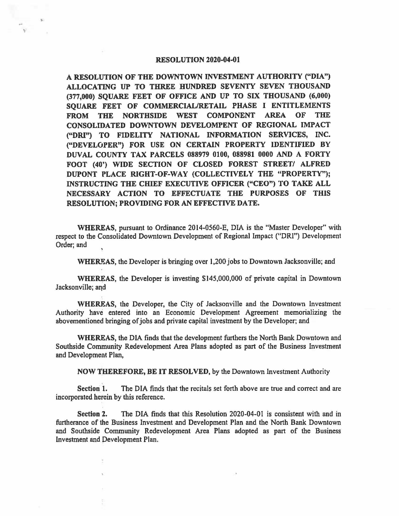## **RESOLUTION 2020-04-01**

**A RESOLUTION OF THE DOWNTOWN INVESTMENT AUTHORITY ("DIA") ALLOCATING UP TO THREE HUNDRED SEVENTY SEVEN THOUSAND (377,000) SQUARE FEET OF OFFICE AND UP TO SIX THOUSAND (6,000) SQUARE FEET OF COMMERCIAL/RETAIL PHASE** I **ENTITLEMENTS FROM THE NORTHSIDE WEST COMPONENT AREA OF THE CONSOLIDATED DOWNTOWN DEVELOMPENT OF REGIONAL IMPACT ("DRI") TO FIDELITY NATIONAL INFORMATION SERVICES, INC. ("DEVELOPER") FOR USE ON CERTAIN PROPERTY IDENTIFIED BY DUVAL COUNTY TAX PARCELS 088979 0100, 088981 0000 AND A FORTY FOOT (40') WIDE SECTION OF CLOSED FOREST STREET/ ALFRED DUPONT PLACE RIGHT-OF-WAY (COLLECTIVELY THE "PROPERTY"); INSTRUCTING THE CHIEF EXECUTIVE OFFICER ("CEO") TO TAKE ALL NECESSARY ACTION TO EFFECTUATE THE PURPOSES OF THIS RESOLUTION; PROVIDING FOR AN EFFECTIVE DATE.** 

**WHEREAS,** pursuant to Ordinance 2014-0560-E, DIA is the "Master Developer" with respect to the Consolidated Downtown Development of Regional Impact ("DRI") Development Order; and

WHEREAS, the Developer is bringing over 1,200 jobs to Downtown Jacksonville; and

**WHEREAS, the Developer is investing \$145,000,000 of private capital in Downtown** Jacksonville; and

**WHEREAS,** the Developer, the City of Jacksonville and the Downtown Investment Authority have entered into an Economic Development Agreement memorializing the abovementioned bringing of jobs and private capital investment by the Developer; and

**WHEREAS,** the DIA finds that the development furthers the North Bank Downtown and Southside Community Redevelopment Area Plans adopted as part of the Business Investment and Development Plan,

**NOW THEREFORE, BE IT RESOLVED,** by the Downtown Investment Authority

**Section 1.** The DIA finds that the recitals set forth above are true and correct and are incorporated herein by this reference.

**Section 2.** The DIA finds that this Resolution 2020-04-01 is consistent with and in furtherance of the Business Investment and Development Plan and the North Bank Downtown and Southside Community Redevelopment Area Plans adopted as part of the Business Investment and Development Plan.